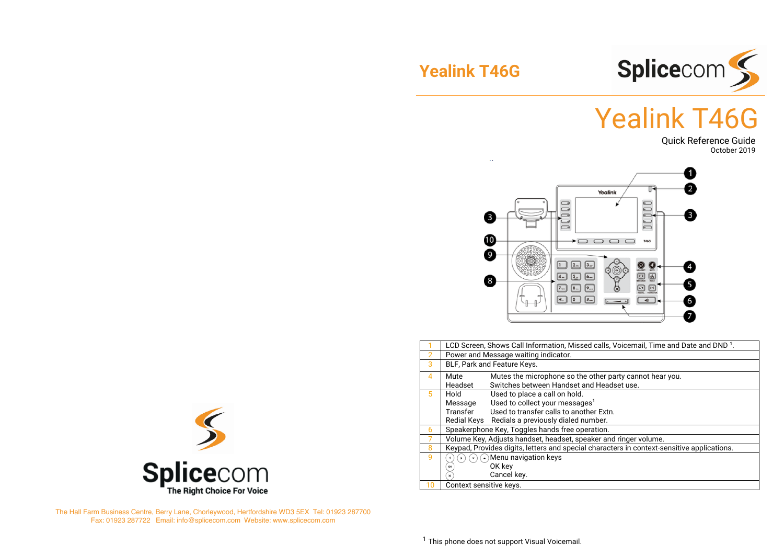

# Yealink T46G



|                 | LCD Screen, Shows Call Information, Missed calls, Voicemail, Time and Date and DND <sup>1</sup> . |                                                          |
|-----------------|---------------------------------------------------------------------------------------------------|----------------------------------------------------------|
| 2               | Power and Message waiting indicator.                                                              |                                                          |
| 3               | BLF, Park and Feature Keys.                                                                       |                                                          |
| 4               | Mute                                                                                              | Mutes the microphone so the other party cannot hear you. |
|                 | Headset                                                                                           | Switches between Handset and Headset use.                |
| 5.              | Hold                                                                                              | Used to place a call on hold.                            |
|                 | Message                                                                                           | Used to collect your messages <sup>1</sup>               |
|                 | Transfer                                                                                          | Used to transfer calls to another Extn.                  |
|                 | Redial Keys                                                                                       | Redials a previously dialed number.                      |
| 6               | Speakerphone Key, Toggles hands free operation.                                                   |                                                          |
|                 | Volume Key, Adjusts handset, headset, speaker and ringer volume.                                  |                                                          |
| 8               | Keypad, Provides digits, letters and special characters in context-sensitive applications.        |                                                          |
| 9               | Menu navigation keys<br>$\blacktriangle$                                                          |                                                          |
|                 | OK                                                                                                | OK key                                                   |
|                 | $\pmb{\times}$                                                                                    | Cancel key.                                              |
| 10 <sup>°</sup> | Context sensitive keys.                                                                           |                                                          |



The Hall Farm Business Centre, Berry Lane, Chorleywood, Hertfordshire WD3 5EX Tel: 01923 287700 Fax: 01923 287722 Email: info@splicecom.com Website: www.splicecom.com

**Yealink T46G**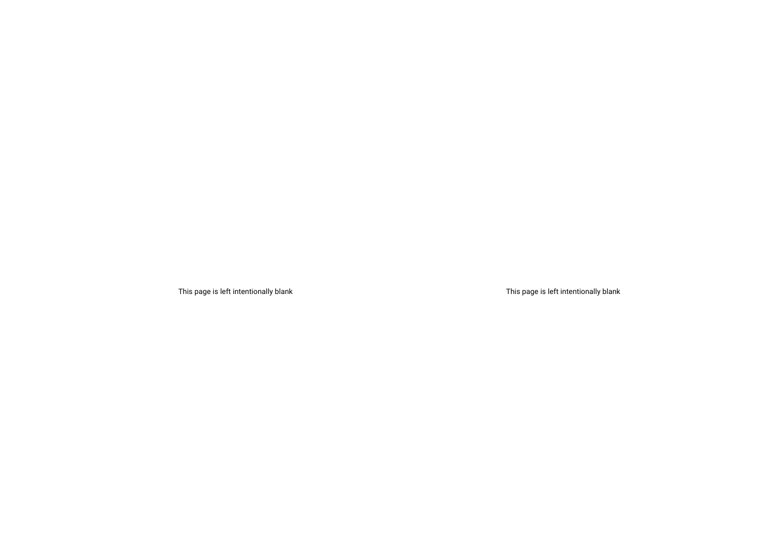This page is left intentionally blank This page is left intentionally blank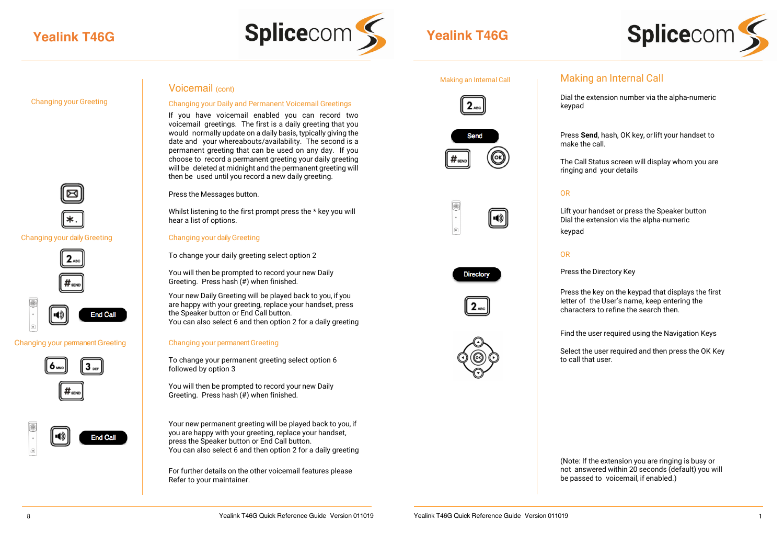



### Changing your Greeting

Changing your daily Greeting

 $2_{ABC}$ 

 $#_{\sf SENC}$ 

**End Call** 

**End Call** 

 $3<sub>per</sub>$ 

Changing your permanent Greeting

ı()

нÓ

 $\textcircled{\scriptsize{1}}$ 

# Voicemail (cont)

### Changing your Daily and Permanent Voicemail Greetings

If you have voicemail enabled you can record two voicemail greetings. The first is a daily greeting that you would normally update on a daily basis, typically giving the date and your whereabouts/availability. The second is a permanent greeting that can be used on any day. If you choose to record a permanent greeting your daily greeting will be deleted at midnight and the permanent greeting will then be used until you record a new daily greeting.

Press the Messages button.

Whilst listening to the first prompt press the \* key you will hear a list of options.

### Changing your daily Greeting

To change your daily greeting select option 2

You will then be prompted to record your new Daily Greeting. Press hash (#) when finished.

Your new Daily Greeting will be played back to you, if you are happy with your greeting, replace your handset, press the Speaker button or End Call button. You can also select 6 and then option 2 for a daily greeting

### Changing your permanent Greeting

To change your permanent greeting select option 6 followed by option 3

You will then be prompted to record your new Daily Greeting. Press hash (#) when finished.

Your new permanent greeting will be played back to you, if you are happy with your greeting, replace your handset, press the Speaker button or End Call button. You can also select 6 and then option 2 for a daily greeting

For further details on the other voicemail features please Refer to your maintainer.

### Making an Internal Call









۱.





## Making an Internal Call

Dial the extension number via the alpha-numeric keypad

Press **Send**, hash, OK key, or lift your handset to make the call.

The Call Status screen will display whom you are ringing and your details

### OR

Lift your handset or press the Speaker button Dial the extension via the alpha-numeric keypad

### OR

Press the Directory Key

Press the key on the keypad that displays the first letter of the User's name, keep entering the characters to refine the search then.

Find the user required using the Navigation Keys

Select the user required and then press the OK Key to call that user.

(Note: If the extension you are ringing is busy or not answered within 20 seconds (default) you will be passed to voicemail, if enabled.)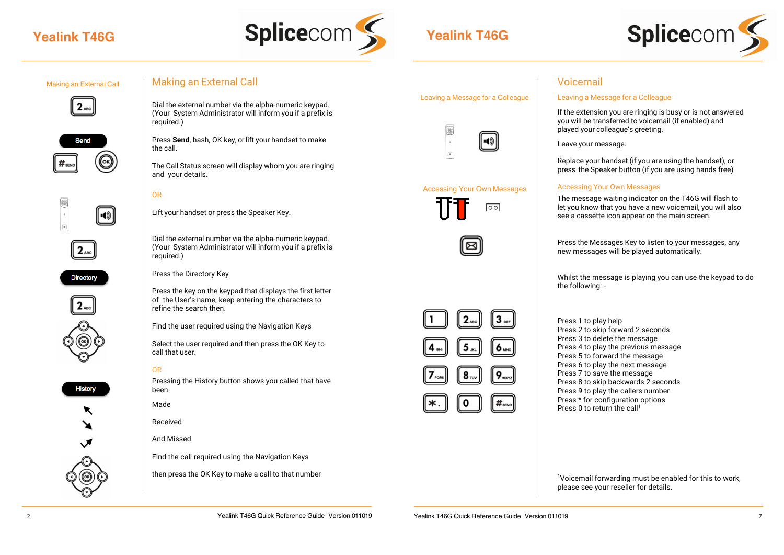



### Making an External Call















# Making an External Call

Dial the external number via the alpha-numeric keypad. (Your System Administrator will inform you if a prefix is required.)

Press **Send**, hash, OK key, or lift your handset to make the call.

The Call Status screen will display whom you are ringing and your details.









# OR

Lift your handset or press the Speaker Key.

Dial the external number via the alpha-numeric keypad. (Your System Administrator will inform you if a prefix is required.)

Press the Directory Key

 Press the key on the keypad that displays the first letter of the User's name, keep entering the characters to refine the search then.

Find the user required using the Navigation Keys

Select the user required and then press the OK Key to call that user.

### OR

Pressing the History button shows you called that have been.

Made

Received

And Missed

Find the call required using the Navigation Keys

then press the OK Key to make a call to that number

### Leaving a Message for a Colleague



# Accessing Your Own Messages





Press the Messages Key to listen to your messages, any new messages will be played automatically.

The message waiting indicator on the T46G will flash to let you know that you have a new voicemail, you will also see a cassette icon appear on the main screen.

If the extension you are ringing is busy or is not answered you will be transferred to voicemail (if enabled) and

Replace your handset (if you are using the handset), or press the Speaker button (if you are using hands free)

Whilst the message is playing you can use the keypad to do the following: -



Press 1 to play help Press 2 to skip forward 2 seconds Press 3 to delete the message Press 4 to play the previous message Press 5 to forward the message Press 6 to play the next message Press 7 to save the message Press 8 to skip backwards 2 seconds Press 9 to play the callers number Press \* for configuration options Press 0 to return the call<sup>1</sup>

Voicemail

Leaving a Message for a Colleague

played your colleague's greeting.

Accessing Your Own Messages

Leave your message.

<sup>1</sup>Voicemail forwarding must be enabled for this to work, please see your reseller for details.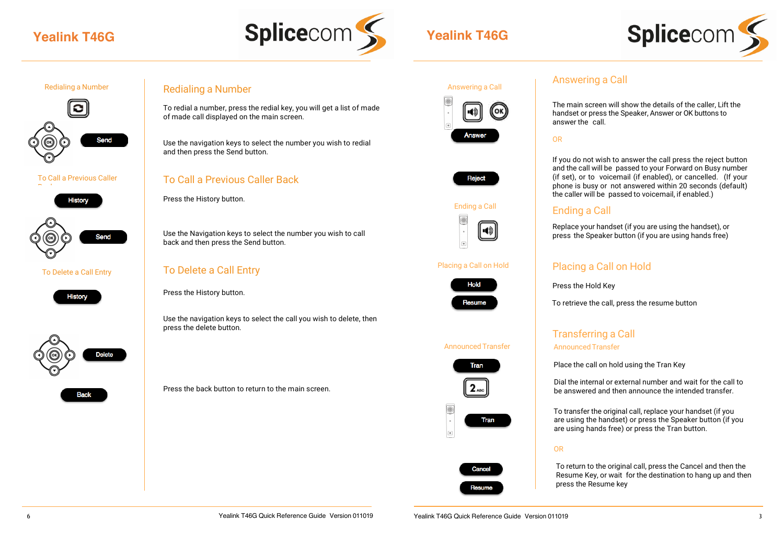





### To Call a Previous Caller

Back





### To Delete a Call Entry





**Back** 

Redialing a Number **Redialing a Number** Answering a Call

To redial a number, press the redial key, you will get a list of made of made call displayed on the main screen.

Use the navigation keys to select the number you wish to redial and then press the Send button.

# To Call a Previous Caller Back

Press the History button.

Use the Navigation keys to select the number you wish to call back and then press the Send button.

# To Delete a Call Entry

Press the History button.

Use the navigation keys to select the call you wish to delete, then press the delete button.

Press the back button to return to the main screen.







### Placing a Call on Hold



# Announced Transfer







# Answering a Call

The main screen will show the details of the caller, Lift the handset or press the Speaker, Answer or OK buttons to answer the call.

# OR

If you do not wish to answer the call press the reject button and the call will be passed to your Forward on Busy number (if set), or to voicemail (if enabled), or cancelled. (If your phone is busy or not answered within 20 seconds (default) the caller will be passed to voicemail, if enabled.)

# Ending a Call

Replace your handset (if you are using the handset), or press the Speaker button (if you are using hands free)

# Placing a Call on Hold

Press the Hold Key

To retrieve the call, press the resume button

# Transferring a Call Announced Transfer

Place the call on hold using the Tran Key

Dial the internal or external number and wait for the call to be answered and then announce the intended transfer.

 To transfer the original call, replace your handset (if you are using the handset) or press the Speaker button (if you are using hands free) or press the Tran button.

### OR

To return to the original call, press the Cancel and then the Resume Key, or wait for the destination to hang up and then press the Resume key